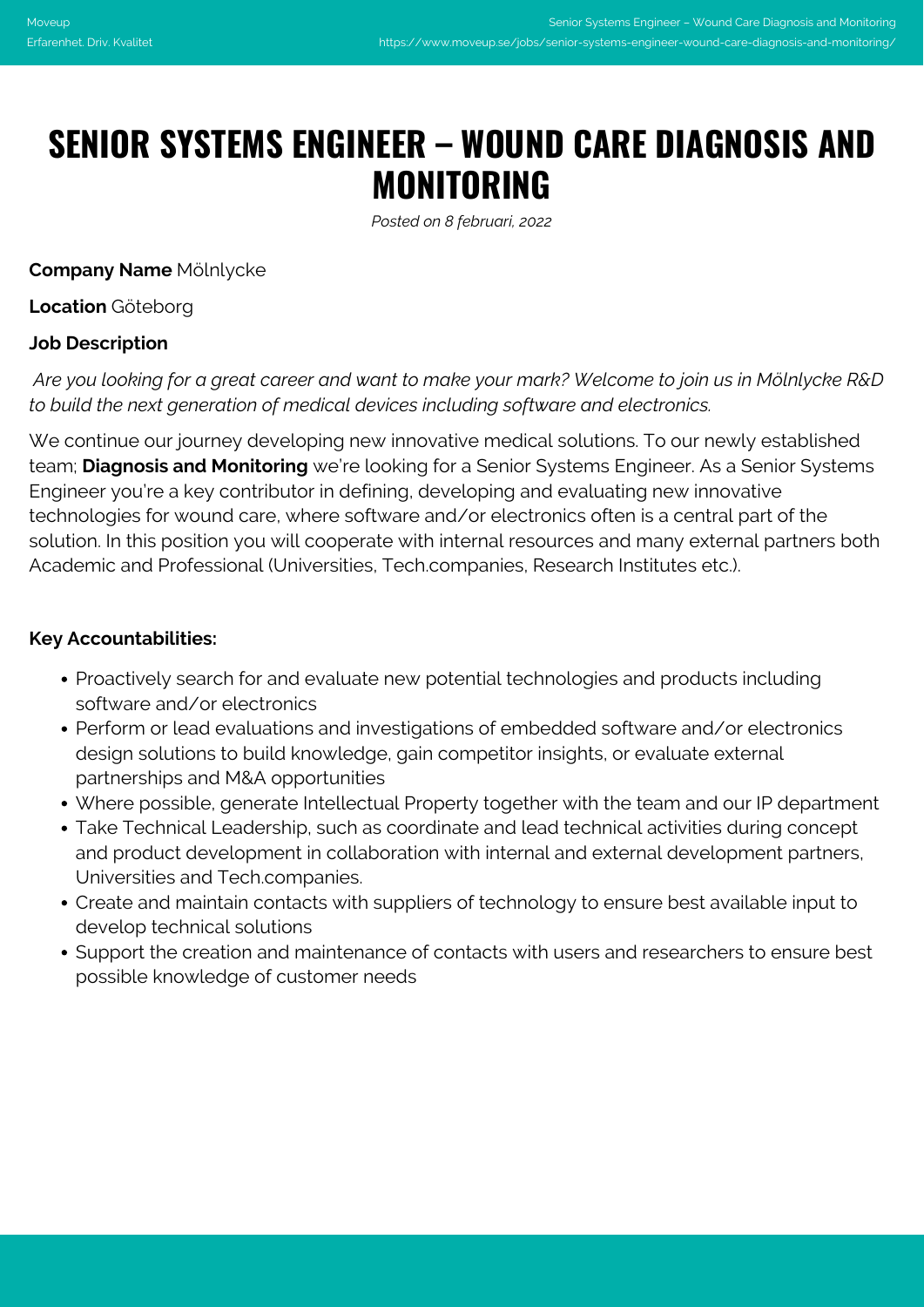# **SENIOR SYSTEMS ENGINEER – WOUND CARE DIAGNOSIS AND MONITORING**

*Posted on 8 februari, 2022*

**Company Name** Mölnlycke

**Location** Göteborg

# **Job Description**

*Are you looking for a great career and want to make your mark? Welcome to join us in Mölnlycke R&D to build the next generation of medical devices including software and electronics.*

We continue our journey developing new innovative medical solutions. To our newly established team; **Diagnosis and Monitoring** we're looking for a Senior Systems Engineer. As a Senior Systems Engineer you're a key contributor in defining, developing and evaluating new innovative technologies for wound care, where software and/or electronics often is a central part of the solution. In this position you will cooperate with internal resources and many external partners both Academic and Professional (Universities, Tech.companies, Research Institutes etc.).

### **Key Accountabilities:**

- Proactively search for and evaluate new potential technologies and products including software and/or electronics
- Perform or lead evaluations and investigations of embedded software and/or electronics design solutions to build knowledge, gain competitor insights, or evaluate external partnerships and M&A opportunities
- Where possible, generate Intellectual Property together with the team and our IP department
- Take Technical Leadership, such as coordinate and lead technical activities during concept and product development in collaboration with internal and external development partners, Universities and Tech.companies.
- Create and maintain contacts with suppliers of technology to ensure best available input to develop technical solutions
- Support the creation and maintenance of contacts with users and researchers to ensure best possible knowledge of customer needs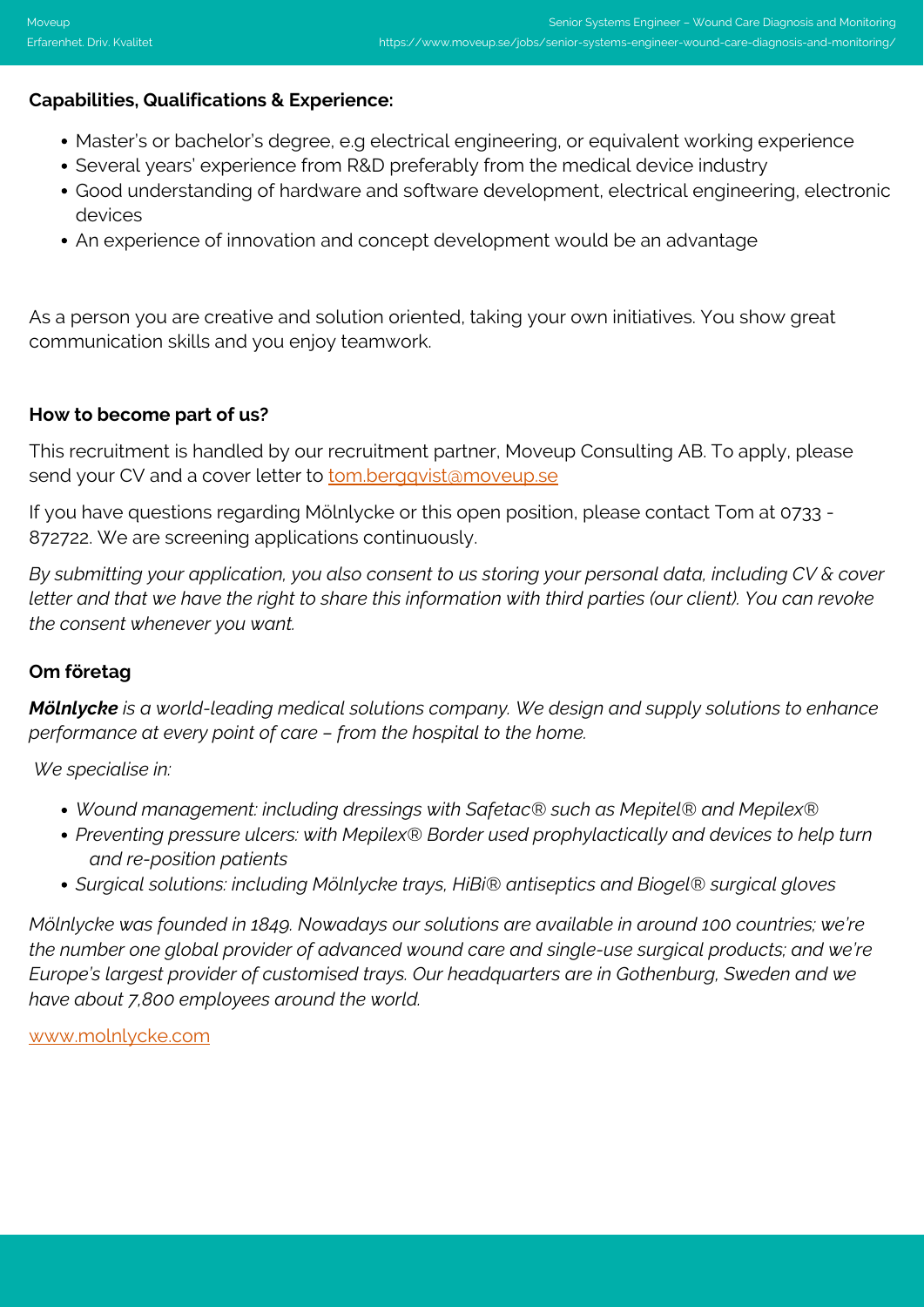### **Capabilities, Qualifications & Experience:**

- Master's or bachelor's degree, e.g electrical engineering, or equivalent working experience
- Several years' experience from R&D preferably from the medical device industry
- Good understanding of hardware and software development, electrical engineering, electronic devices
- An experience of innovation and concept development would be an advantage

As a person you are creative and solution oriented, taking your own initiatives. You show great communication skills and you enjoy teamwork.

### **How to become part of us?**

This recruitment is handled by our recruitment partner, Moveup Consulting AB. To apply, please send your CV and a cover letter to **[tom.bergqvist@moveup.se](mailto:tom.bergqvist@moveup.se)** 

If you have questions regarding Mölnlycke or this open position, please contact Tom at 0733 - 872722. We are screening applications continuously.

*By submitting your application, you also consent to us storing your personal data, including CV & cover letter and that we have the right to share this information with third parties (our client). You can revoke the consent whenever you want.*

# **Om företag**

*Mölnlycke is a world-leading medical solutions company. We design and supply solutions to enhance performance at every point of care – from the hospital to the home.*

*We specialise in:*

- *Wound management: including dressings with Safetac® such as Mepitel® and Mepilex®*
- *Preventing pressure ulcers: with Mepilex® Border used prophylactically and devices to help turn and re-position patients*
- *Surgical solutions: including Mölnlycke trays, HiBi® antiseptics and Biogel® surgical gloves*

*Mölnlycke was founded in 1849. Nowadays our solutions are available in around 100 countries; we're the number one global provider of advanced wound care and single-use surgical products; and we're Europe's largest provider of customised trays. Our headquarters are in Gothenburg, Sweden and we have about 7,800 employees around the world.*

[www.molnlycke.com](http://www.molnlycke.com)